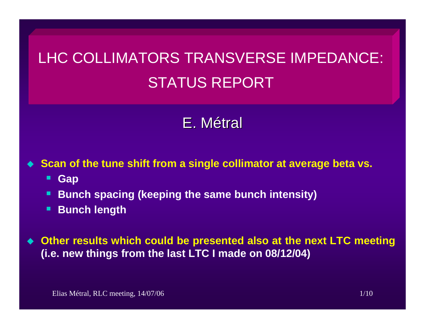# LHC COLLIMATORS TRANSVERSE IMPEDANCE: STATUS REPORT

# E.Métral

**Scan of the tune shift from a single collimator at average beta vs.**

- $\blacksquare$ **Gap**
- **Bunch spacing (keeping the same bunch intensity)**
- П **Bunch length**

 **Other results which could be presented also at the next LTC meeting (i.e. new things from the last LTC I made on 08/12/04)**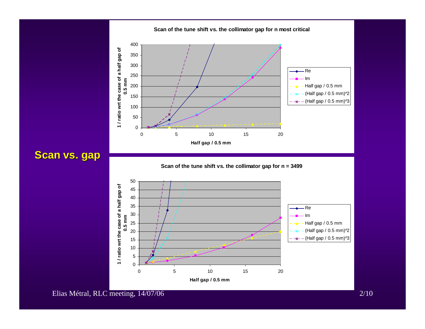**Scan vs. gap** 



**Scan of the tune shift vs. the collimator gap for n most critical**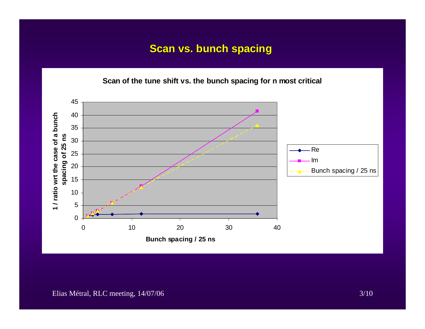#### **Scan vs. bunch spacing**

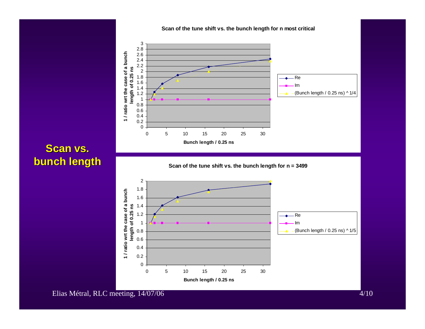

0 5 10 15 20 25 30

**Bunch length / 0.25 ns**

#### **Scan vs. bunch length bunch length**

Elias Métral, RLC meeting, 14/07/06 4/10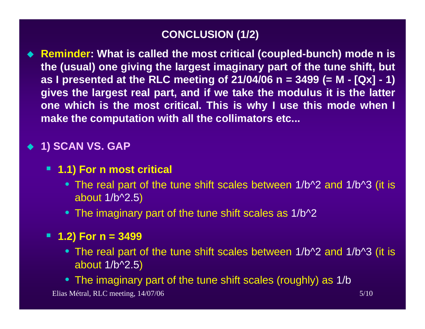# **CONCLUSION (1/2)**

◆ Reminder: What is called the most critical (coupled-bunch) mode n is **the (usual) one giving the largest imaginary part of the tune shift, but as I presented at the RLC meeting of 21/04/06 n = 3499 (= M - [Qx] - 1) gives the largest real part, and if we take the modulus it is the latter one which is the most critical. This is why I use this mode when I make the computation with all the collimators etc...**

# ◆ 1) SCAN **VS. GAP**

#### **1.1) For n most critical**

- The real part of the tune shift scales between 1/b^2 and 1/b^3 (it is about 1/b^2.5 )
- The imaginary part of the tune shift scales as 1/b^2

#### **1.2) For n = 3499**

- The real part of the tune shift scales between 1/b^2 and 1/b^3 (it is about 1/b^2.5 )
- The imaginary part of the tune shift scales (roughly) as 1/b

Elias Métral, RLC meeting, 14/07/06 5/10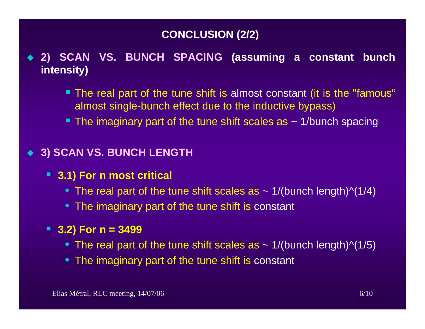# **CONCLUSION (2/2)**

- **2) SCAN VS. BUNCH SPACING (assuming a constant bunch intensity)**
	- The real part of the tune shift is almost constant (it is the "famous" almost single-bunch effect due to the inductive bypass)
	- $\blacksquare$  The imaginary part of the tune shift scales as  $\thicksim$  1/bunch spacing

#### **3) SCAN VS. BUNCH LENGTH**

- **3.1) For n most critical**
	- $\bullet\,$  The real part of the tune shift scales as  $\sim$  1/(bunch length)^(1/4)
	- The imaginary part of the tune shift is constant

## **3.2) For n = 3499**

- $\bullet\,$  The real part of the tune shift scales as  $\sim$  1/(bunch length)^(1/5)
- The imaginary part of the tune shift is constant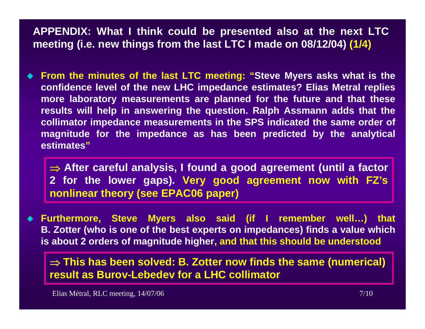**APPENDIX: What I think could be presented also at the next LTC meeting (i.e. new things from the last LTC I made on 08/12/04) (1/4)**

 **From the minutes of the last LTC meeting: "Steve Myers asks what is the confidence level of the new LHC impedance estimates? Elias Metral replies more laboratory measurements are planned for the future and that these results will help in answering the question. Ralph Assmann adds that the collimator impedance measurements in the SPS indicated the same order of magnitude for the impedance as has been predicted by the analytical estimates"**

⇒ **After careful analysis, I found a good agreement (until a factor 2 for the lower gaps). Very good agreement now with FZ's nonlinear theory (see EPAC06 paper)**

 **Furthermore, Steve Myers also said (if I remember well…) that B. Zotter (who is one of the best experts on impedances) finds a value which is about 2 orders of magnitude higher, and that this should be understood**

⇒ **This has been solved: B. Zotter now finds the same (numerical) result as Burov-Lebedev for a LHC collimator**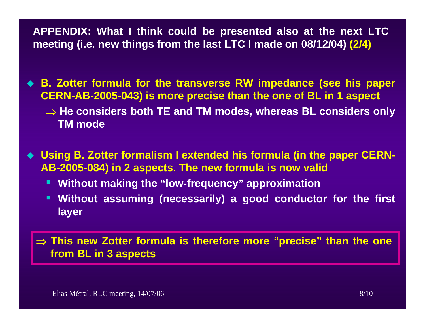**APPENDIX: What I think could be presented also at the next LTC meeting (i.e. new things from the last LTC I made on 08/12/04) (2/4)**

 **B. Zotter formula for the transverse RW impedance (see his paper CERN-AB-2005-043) is more precise than the one of BL in 1 aspect** ⇒ **He considers both TE and TM modes, whereas BL considers only TM mode**

◆ Using B. Zotter formalism I extended his formula (in the paper CERN-**AB-2005-084) in 2 aspects. The new formula is now valid**

- **Without making the "low-frequency" approximation**
- **Without assuming (necessarily) a good conductor for the first layer**

⇒ **This new Zotter formula is therefore more "precise" than the one from BL in 3 aspects**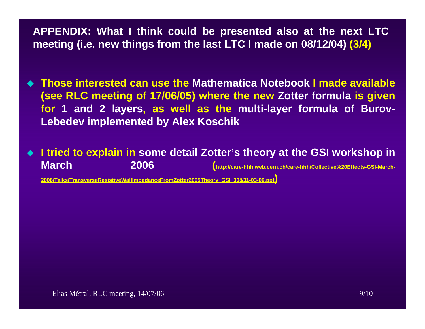**APPENDIX: What I think could be presented also at the next LTC meeting (i.e. new things from the last LTC I made on 08/12/04) (3/4)**

- **Those interested can use the Mathematica Notebook I made available (see RLC meeting of 17/06/05) where the new Zotter formula is given for 1 and 2 layers, as well as the multi-layer formula of Burov-Lebedev implemented by Alex Koschik**
- ◆ I tried to explain in some detail Zotter's theory at the GSI workshop in **March 2006[\(http://care-hhh.web.cern.ch/care-hhh/Collective%20Effects-GSI-March-](http://care-hhh.web.cern.ch/care-hhh/Collective Effects-GSI-March-2006/Talks/TransverseResistiveWallImpedanceFromZotter2005Theory_GSI_30&31-03-06.ppt)**

**[2006/Talks/TransverseResistiveWallImpedanceFromZotter2005Theory\\_GSI\\_30&31-03-06.ppt](http://care-hhh.web.cern.ch/care-hhh/Collective Effects-GSI-March-2006/Talks/TransverseResistiveWallImpedanceFromZotter2005Theory_GSI_30&31-03-06.ppt) [\)](http://care-hhh.web.cern.ch/care-hhh/Collective Effects-GSI-March-2006/Talks/TransverseResistiveWallImpedanceFromZotter2005Theory_GSI_30&31-03-06.ppt)**